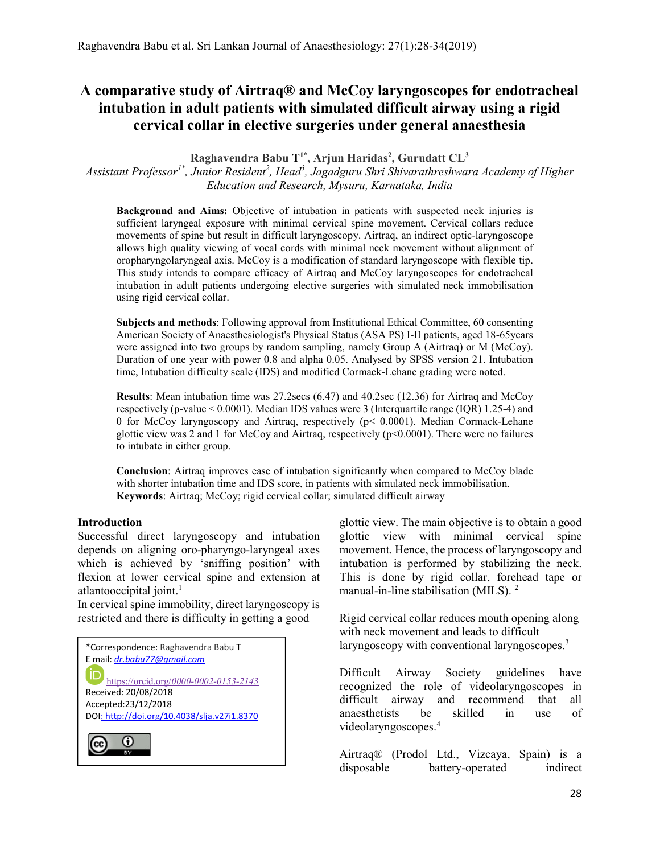# A comparative study of Airtraq® and McCoy laryngoscopes for endotracheal intubation in adult patients with simulated difficult airway using a rigid cervical collar in elective surgeries under general anaesthesia

Raghavendra Babu T<sup>1\*</sup>, Arjun Haridas<sup>2</sup>, Gurudatt CL<sup>3</sup>

Assistant Professor<sup>1\*</sup>, Junior Resident<sup>2</sup>, Head<sup>3</sup>, Jagadguru Shri Shivarathreshwara Academy of Higher Education and Research, Mysuru, Karnataka, India

Background and Aims: Objective of intubation in patients with suspected neck injuries is sufficient laryngeal exposure with minimal cervical spine movement. Cervical collars reduce movements of spine but result in difficult laryngoscopy. Airtraq, an indirect optic-laryngoscope allows high quality viewing of vocal cords with minimal neck movement without alignment of oropharyngolaryngeal axis. McCoy is a modification of standard laryngoscope with flexible tip. This study intends to compare efficacy of Airtraq and McCoy laryngoscopes for endotracheal intubation in adult patients undergoing elective surgeries with simulated neck immobilisation using rigid cervical collar.

Subjects and methods: Following approval from Institutional Ethical Committee, 60 consenting American Society of Anaesthesiologist's Physical Status (ASA PS) I-II patients, aged 18-65years were assigned into two groups by random sampling, namely Group A (Airtraq) or M (McCoy). Duration of one year with power 0.8 and alpha 0.05. Analysed by SPSS version 21. Intubation time, Intubation difficulty scale (IDS) and modified Cormack-Lehane grading were noted.

Results: Mean intubation time was 27.2secs (6.47) and 40.2sec (12.36) for Airtraq and McCoy respectively (p-value < 0.0001). Median IDS values were 3 (Interquartile range (IQR) 1.25-4) and 0 for McCoy laryngoscopy and Airtraq, respectively (p< 0.0001). Median Cormack-Lehane glottic view was 2 and 1 for McCoy and Airtraq, respectively ( $p<0.0001$ ). There were no failures to intubate in either group.

Conclusion: Airtraq improves ease of intubation significantly when compared to McCoy blade with shorter intubation time and IDS score, in patients with simulated neck immobilisation. Keywords: Airtraq; McCoy; rigid cervical collar; simulated difficult airway

## Introduction

Successful direct laryngoscopy and intubation depends on aligning oro-pharyngo-laryngeal axes which is achieved by 'sniffing position' with flexion at lower cervical spine and extension at atlantooccipital joint.<sup>1</sup>

In cervical spine immobility, direct laryngoscopy is restricted and there is difficulty in getting a good

| *Correspondence: Raghavendra Babu T<br>E mail: <i>dr.babu77@gmail.com</i> |
|---------------------------------------------------------------------------|
| https://orcid.org/0000-0002-0153-2143                                     |
| Received: 20/08/2018                                                      |
| Accepted:23/12/2018                                                       |
| DOI: http://doi.org/10.4038/slja.v27i1.8370                               |
|                                                                           |

glottic view. The main objective is to obtain a good glottic view with minimal cervical spine movement. Hence, the process of laryngoscopy and intubation is performed by stabilizing the neck. This is done by rigid collar, forehead tape or manual-in-line stabilisation (MILS). <sup>2</sup>

Rigid cervical collar reduces mouth opening along with neck movement and leads to difficult laryngoscopy with conventional laryngoscopes.<sup>3</sup>

Difficult Airway Society guidelines have recognized the role of videolaryngoscopes in difficult airway and recommend that all anaesthetists be skilled in use of videolaryngoscopes.<sup>4</sup>

Airtraq® (Prodol Ltd., Vizcaya, Spain) is a disposable battery-operated indirect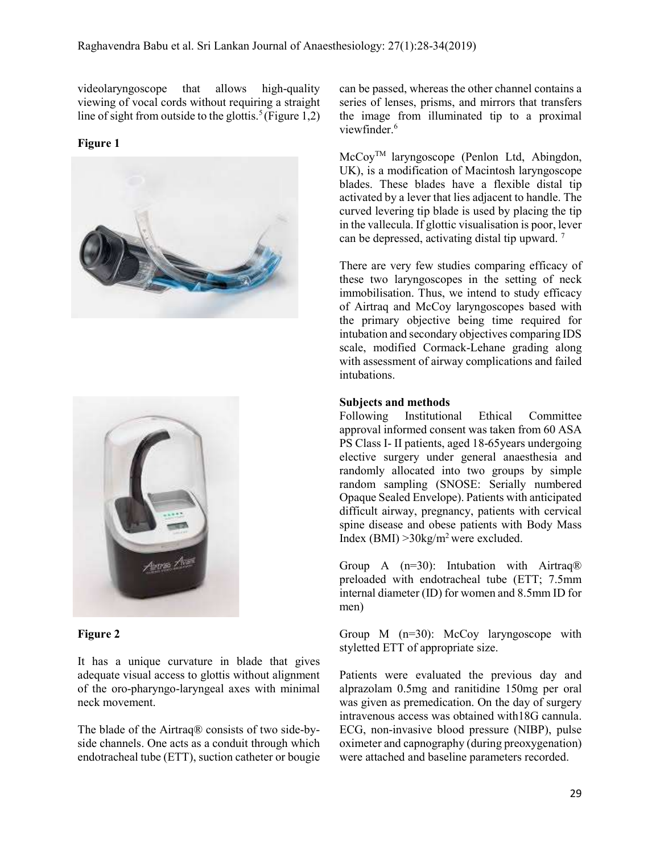videolaryngoscope that allows high-quality viewing of vocal cords without requiring a straight line of sight from outside to the glottis.<sup>5</sup>(Figure 1,2)

### Figure 1





## Figure 2

It has a unique curvature in blade that gives adequate visual access to glottis without alignment of the oro-pharyngo-laryngeal axes with minimal neck movement.

The blade of the Airtraq® consists of two side-byside channels. One acts as a conduit through which endotracheal tube (ETT), suction catheter or bougie can be passed, whereas the other channel contains a series of lenses, prisms, and mirrors that transfers the image from illuminated tip to a proximal viewfinder.<sup>6</sup>

McCoyTM laryngoscope (Penlon Ltd, Abingdon, UK), is a modification of Macintosh laryngoscope blades. These blades have a flexible distal tip activated by a lever that lies adjacent to handle. The curved levering tip blade is used by placing the tip in the vallecula. If glottic visualisation is poor, lever can be depressed, activating distal tip upward. <sup>7</sup>

There are very few studies comparing efficacy of these two laryngoscopes in the setting of neck immobilisation. Thus, we intend to study efficacy of Airtraq and McCoy laryngoscopes based with the primary objective being time required for intubation and secondary objectives comparing IDS scale, modified Cormack-Lehane grading along with assessment of airway complications and failed intubations.

#### Subjects and methods

Following Institutional Ethical Committee approval informed consent was taken from 60 ASA PS Class I- II patients, aged 18-65years undergoing elective surgery under general anaesthesia and randomly allocated into two groups by simple random sampling (SNOSE: Serially numbered Opaque Sealed Envelope). Patients with anticipated difficult airway, pregnancy, patients with cervical spine disease and obese patients with Body Mass Index (BMI)  $>30$ kg/m<sup>2</sup> were excluded.

Group A  $(n=30)$ : Intubation with Airtraq<sup>®</sup> preloaded with endotracheal tube (ETT; 7.5mm internal diameter (ID) for women and 8.5mm ID for men)

Group M (n=30): McCoy laryngoscope with styletted ETT of appropriate size.

Patients were evaluated the previous day and alprazolam 0.5mg and ranitidine 150mg per oral was given as premedication. On the day of surgery intravenous access was obtained with18G cannula. ECG, non-invasive blood pressure (NIBP), pulse oximeter and capnography (during preoxygenation) were attached and baseline parameters recorded.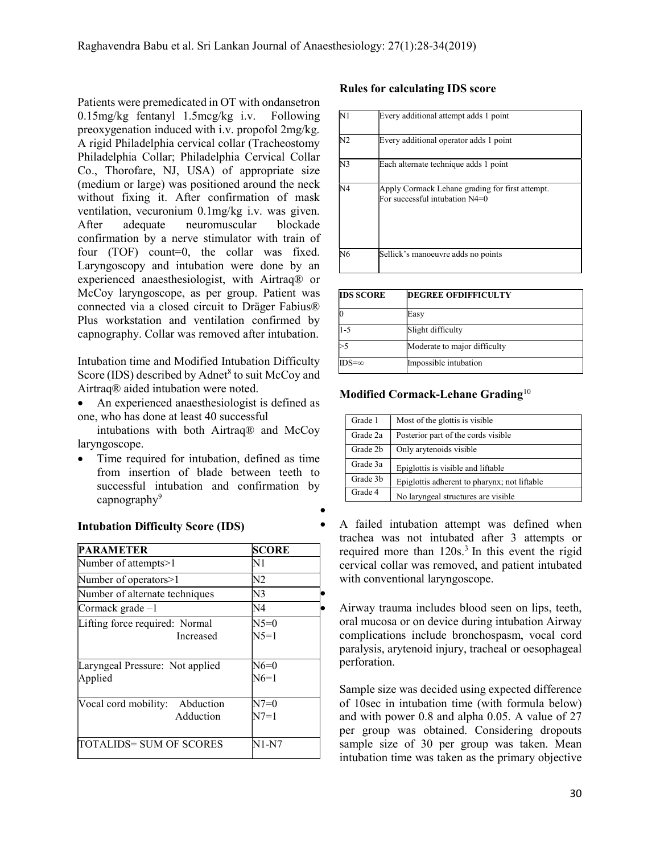Patients were premedicated in OT with ondansetron 0.15mg/kg fentanyl 1.5mcg/kg i.v. Following preoxygenation induced with i.v. propofol 2mg/kg. A rigid Philadelphia cervical collar (Tracheostomy Philadelphia Collar; Philadelphia Cervical Collar Co., Thorofare, NJ, USA) of appropriate size (medium or large) was positioned around the neck without fixing it. After confirmation of mask ventilation, vecuronium 0.1mg/kg i.v. was given. After adequate neuromuscular blockade confirmation by a nerve stimulator with train of four (TOF) count=0, the collar was fixed. Laryngoscopy and intubation were done by an experienced anaesthesiologist, with Airtraq® or McCoy laryngoscope, as per group. Patient was connected via a closed circuit to Dräger Fabius® Plus workstation and ventilation confirmed by capnography. Collar was removed after intubation.

Intubation time and Modified Intubation Difficulty Score (IDS) described by Adnet<sup>8</sup> to suit McCoy and Airtraq® aided intubation were noted.

 An experienced anaesthesiologist is defined as one, who has done at least 40 successful

 intubations with both Airtraq® and McCoy laryngoscope.

 Time required for intubation, defined as time from insertion of blade between teeth to successful intubation and confirmation by  $c$ apnography<sup>9</sup>  $\bullet$ 

#### Intubation Difficulty Score (IDS)

| <b>PARAMETER</b>                               | <b>SCORE</b>      |  |
|------------------------------------------------|-------------------|--|
| Number of attempts>1                           | N1                |  |
| Number of operators>1                          | N2                |  |
| Number of alternate techniques                 | N3                |  |
| Cormack grade-1                                | N4                |  |
| Lifting force required: Normal<br>Increased    | $N5=0$<br>$N$ 5=1 |  |
| Laryngeal Pressure: Not applied<br>Applied     | N6=0<br>$N6=1$    |  |
| Abduction<br>Vocal cord mobility:<br>Adduction | N7=0<br>N7=1      |  |
| TOTALIDS= SUM OF SCORES                        | N1-N7             |  |

### Rules for calculating IDS score

| N1             | Every additional attempt adds 1 point                                             |
|----------------|-----------------------------------------------------------------------------------|
| N2             | Every additional operator adds 1 point                                            |
| N3             | Each alternate technique adds 1 point                                             |
| N <sub>4</sub> | Apply Cormack Lehane grading for first attempt.<br>For successful intubation N4=0 |
| N <sub>6</sub> | Sellick's manoeuvre adds no points                                                |

| <b>IDS SCORE</b> | <b>DEGREE OFDIFFICULTY</b>   |
|------------------|------------------------------|
|                  | Easy                         |
| 1-5              | Slight difficulty            |
|                  | Moderate to major difficulty |
| $IDS = \infty$   | Impossible intubation        |

#### Modified Cormack-Lehane Grading<sup>10</sup>

| Grade 1  | Most of the glottis is visible               |
|----------|----------------------------------------------|
| Grade 2a | Posterior part of the cords visible          |
| Grade 2b | Only arytenoids visible                      |
| Grade 3a | Epiglottis is visible and liftable           |
| Grade 3b | Epiglottis adherent to pharynx; not liftable |
| Grade 4  | No laryngeal structures are visible.         |

 A failed intubation attempt was defined when trachea was not intubated after 3 attempts or required more than 120s.<sup>3</sup> In this event the rigid cervical collar was removed, and patient intubated with conventional laryngoscope.

 Airway trauma includes blood seen on lips, teeth, oral mucosa or on device during intubation Airway complications include bronchospasm, vocal cord paralysis, arytenoid injury, tracheal or oesophageal perforation.

Sample size was decided using expected difference of 10sec in intubation time (with formula below) and with power 0.8 and alpha 0.05. A value of 27 per group was obtained. Considering dropouts sample size of 30 per group was taken. Mean intubation time was taken as the primary objective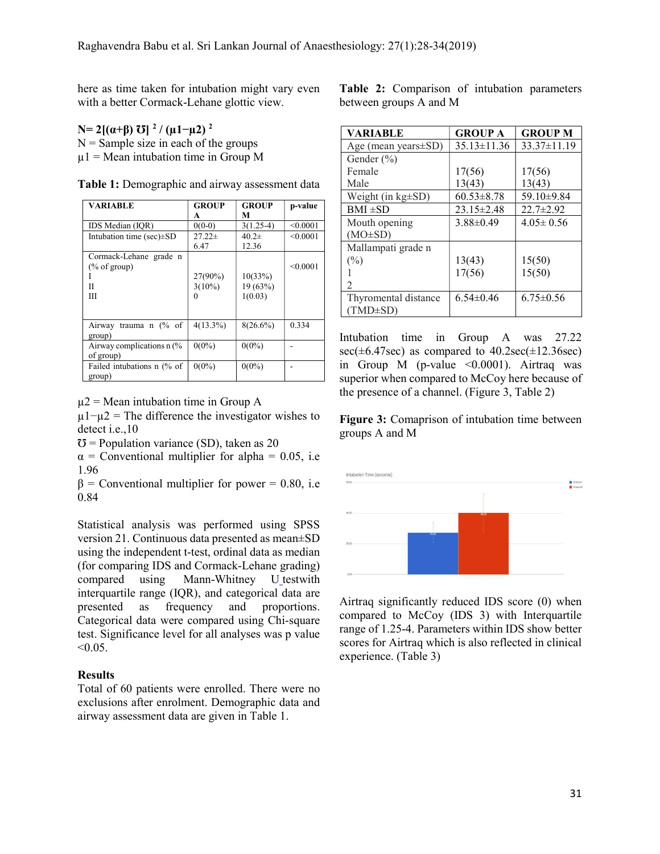here as time taken for intubation might vary even with a better Cormack-Lehane glottic view.

## N= 2[(α+β)  $\text{U}$ ]<sup>2</sup>/(μ1-μ2)<sup>2</sup>

 $N =$  Sample size in each of the groups  $\mu$ 1 = Mean intubation time in Group M

| VARIABLE                                                    | <b>GROUP</b><br>A                | <b>GROUP</b><br>М              | p-value  |
|-------------------------------------------------------------|----------------------------------|--------------------------------|----------|
| IDS Median (IOR)                                            | $0(0-0)$                         | $3(1.25-4)$                    | < 0.0001 |
| Intubation time (sec) $\pm SD$                              | $27.22 \pm$<br>6.47              | $40.2\pm$<br>12.36             | < 0.0001 |
| Cormack-Lehane grade n<br>$(\% \text{ of group})$<br>Π<br>Ш | 27(90%)<br>$3(10\%)$<br>$\Omega$ | 10(33%)<br>19 (63%)<br>1(0.03) | < 0.0001 |
| Airway trauma n (% of<br>group)                             | $4(13.3\%)$                      | $8(26.6\%)$                    | 0.334    |
| Airway complications n (%<br>of group)                      | $0(0\%)$                         | $0(0\%)$                       |          |
| Failed intubations n (% of<br>group)                        | $0(0\%)$                         | $0(0\%)$                       |          |

Table 1: Demographic and airway assessment data

 $\mu$ 2 = Mean intubation time in Group A

 $\mu$ 1− $\mu$ 2 = The difference the investigator wishes to detect i.e.,10

 $\sigma$  = Population variance (SD), taken as 20

 $\alpha$  = Conventional multiplier for alpha = 0.05, i.e 1.96

 $β =$  Conventional multiplier for power = 0.80, i.e 0.84

Statistical analysis was performed using SPSS version 21. Continuous data presented as mean±SD using the independent t-test, ordinal data as median (for comparing IDS and Cormack-Lehane grading) compared using Mann-Whitney U testwith interquartile range (IQR), and categorical data are presented as frequency and proportions. Categorical data were compared using Chi‑square test. Significance level for all analyses was p value  $< 0.05$ .

## **Results**

Total of 60 patients were enrolled. There were no exclusions after enrolment. Demographic data and airway assessment data are given in Table 1.

Table 2: Comparison of intubation parameters between groups A and M

| VARIABLE                    | <b>GROUP A</b>    | <b>GROUP M</b>    |
|-----------------------------|-------------------|-------------------|
| Age (mean years $\pm$ SD)   | $35.13 \pm 11.36$ | $33.37 \pm 11.19$ |
| Gender (%)                  |                   |                   |
| Female                      | 17(56)            | 17(56)            |
| Male                        | 13(43)            | 13(43)            |
| Weight (in $kg\pm SD$ )     | $60.53 \pm 8.78$  | 59.10±9.84        |
| $BMI \pm SD$                | $23.15 \pm 2.48$  | $22.7 \pm 2.92$   |
| Mouth opening               | $3.88 \pm 0.49$   | $4.05 \pm 0.56$   |
| $(MO\pm SD)$                |                   |                   |
| Mallampati grade n          |                   |                   |
| (%)                         | 13(43)            | 15(50)            |
|                             | 17(56)            | 15(50)            |
| $\mathcal{D}_{\mathcal{L}}$ |                   |                   |
| Thyromental distance        | $6.54 \pm 0.46$   | $6.75 \pm 0.56$   |
| (TMD±SD)                    |                   |                   |

Intubation time in Group A was 27.22 sec( $\pm$ 6.47sec) as compared to 40.2sec( $\pm$ 12.36sec) in Group M (p-value  $\leq 0.0001$ ). Airtraq was superior when compared to McCoy here because of the presence of a channel. (Figure 3, Table 2)

Figure 3: Comaprison of intubation time between groups A and M



Airtraq significantly reduced IDS score (0) when compared to McCoy (IDS 3) with Interquartile range of 1.25-4. Parameters within IDS show better scores for Airtraq which is also reflected in clinical experience. (Table 3)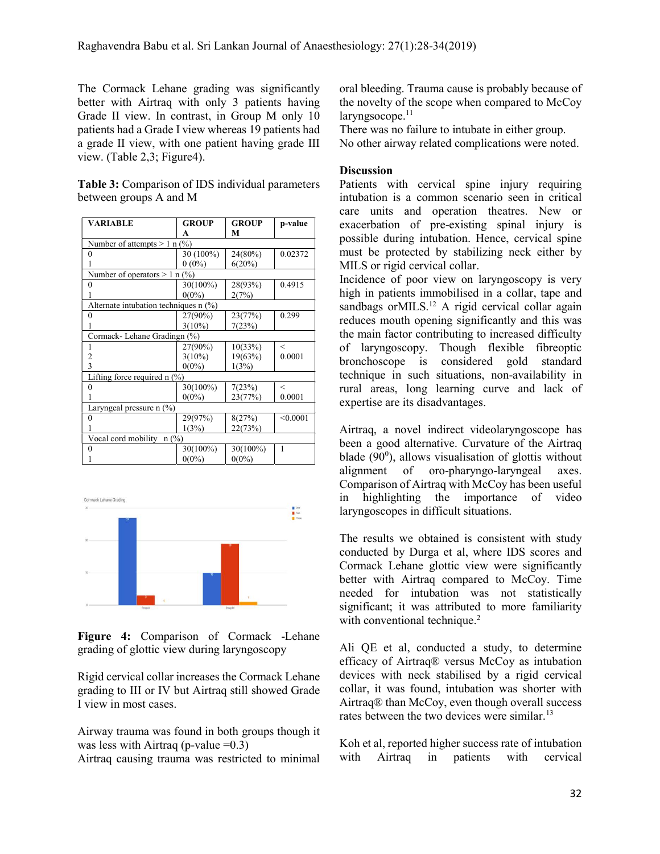The Cormack Lehane grading was significantly better with Airtraq with only 3 patients having Grade II view. In contrast, in Group M only 10 patients had a Grade I view whereas 19 patients had a grade II view, with one patient having grade III view. (Table 2,3; Figure4).

Table 3: Comparison of IDS individual parameters between groups A and M

| <b>VARIABLE</b>                         | <b>GROUP</b> | <b>GROUP</b> | p-value  |
|-----------------------------------------|--------------|--------------|----------|
|                                         | A            | M            |          |
| Number of attempts $> 1$ n (%)          |              |              |          |
| $\Omega$                                | 30 (100%)    | 24(80%)      | 0.02372  |
|                                         | $0(0\%)$     | 6(20%)       |          |
| Number of operators $> 1$ n (%)         |              |              |          |
| $\theta$                                | 30(100%)     | 28(93%)      | 0.4915   |
|                                         | $0(0\%)$     | 2(7%)        |          |
| Alternate intubation techniques $n$ (%) |              |              |          |
| 0                                       | 27(90%)      | 23(77%)      | 0.299    |
|                                         | $3(10\%)$    | 7(23%)       |          |
| Cormack-Lehane Gradingn (%)             |              |              |          |
|                                         | 27(90%)      | 10(33%)      | $\,<\,$  |
| 2                                       | $3(10\%)$    | 19(63%)      | 0.0001   |
| 3                                       | $0(0\%)$     | 1(3%)        |          |
| Lifting force required n (%)            |              |              |          |
|                                         | 30(100%)     | 7(23%)       | $\,<\,$  |
|                                         | $0(0\%)$     | 23(77%)      | 0.0001   |
| Laryngeal pressure $n$ (%)              |              |              |          |
| 0                                       | 29(97%)      | 8(27%)       | < 0.0001 |
|                                         | 1(3%)        | 22(73%)      |          |
| Vocal cord mobility<br>$n$ (%)          |              |              |          |
| 0                                       | 30(100%)     | 30(100%)     | 1        |
|                                         | $0(0\%)$     | $0(0\%)$     |          |



 Figure 4: Comparison of Cormack -Lehane grading of glottic view during laryngoscopy

Rigid cervical collar increases the Cormack Lehane grading to III or IV but Airtraq still showed Grade I view in most cases.

Airway trauma was found in both groups though it was less with Airtraq (p-value  $=0.3$ )

Airtraq causing trauma was restricted to minimal

oral bleeding. Trauma cause is probably because of the novelty of the scope when compared to McCoy  $laryngsocope.<sup>11</sup>$ 

There was no failure to intubate in either group. No other airway related complications were noted.

#### **Discussion**

Patients with cervical spine injury requiring intubation is a common scenario seen in critical care units and operation theatres. New or exacerbation of pre-existing spinal injury is possible during intubation. Hence, cervical spine must be protected by stabilizing neck either by MILS or rigid cervical collar.

Incidence of poor view on laryngoscopy is very high in patients immobilised in a collar, tape and sandbags or MILS.<sup>12</sup> A rigid cervical collar again reduces mouth opening significantly and this was the main factor contributing to increased difficulty of laryngoscopy. Though flexible fibreoptic bronchoscope is considered gold standard technique in such situations, non-availability in rural areas, long learning curve and lack of expertise are its disadvantages.

Airtraq, a novel indirect videolaryngoscope has been a good alternative. Curvature of the Airtraq blade (90<sup>0</sup> ), allows visualisation of glottis without alignment of oro-pharyngo-laryngeal axes. Comparison of Airtraq with McCoy has been useful in highlighting the importance of video laryngoscopes in difficult situations.

The results we obtained is consistent with study conducted by Durga et al, where IDS scores and Cormack Lehane glottic view were significantly better with Airtraq compared to McCoy. Time needed for intubation was not statistically significant; it was attributed to more familiarity with conventional technique.<sup>2</sup>

Ali QE et al, conducted a study, to determine efficacy of Airtraq® versus McCoy as intubation devices with neck stabilised by a rigid cervical collar, it was found, intubation was shorter with Airtraq® than McCoy, even though overall success rates between the two devices were similar.<sup>13</sup>

Koh et al, reported higher success rate of intubation with Airtraq in patients with cervical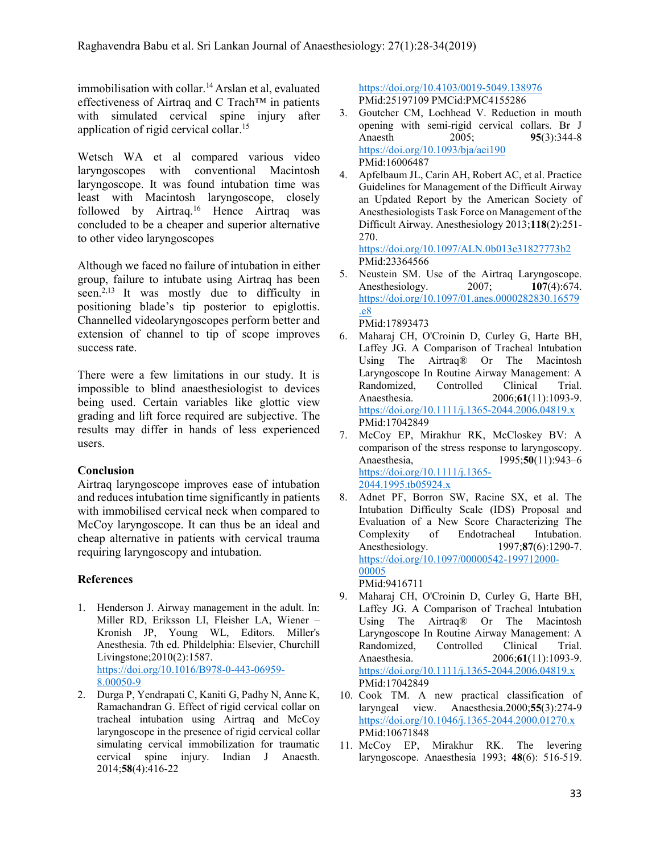immobilisation with collar.<sup>14</sup> Arslan et al, evaluated effectiveness of Airtraq and C Trach™ in patients with simulated cervical spine injury after application of rigid cervical collar.<sup>15</sup>

Wetsch WA et al compared various video laryngoscopes with conventional Macintosh laryngoscope. It was found intubation time was least with Macintosh laryngoscope, closely followed by Airtraq.<sup>16</sup> Hence Airtraq was concluded to be a cheaper and superior alternative to other video laryngoscopes

Although we faced no failure of intubation in either group, failure to intubate using Airtraq has been seen.<sup>2,13</sup> It was mostly due to difficulty in positioning blade's tip posterior to epiglottis. Channelled videolaryngoscopes perform better and extension of channel to tip of scope improves success rate.

There were a few limitations in our study. It is impossible to blind anaesthesiologist to devices being used. Certain variables like glottic view grading and lift force required are subjective. The results may differ in hands of less experienced users.

# Conclusion

Airtraq laryngoscope improves ease of intubation and reduces intubation time significantly in patients with immobilised cervical neck when compared to McCoy laryngoscope. It can thus be an ideal and cheap alternative in patients with cervical trauma requiring laryngoscopy and intubation.

# References

- 1. Henderson J. Airway management in the adult. In: Miller RD, Eriksson LI, Fleisher LA, Wiener – Kronish JP, Young WL, Editors. Miller's Anesthesia. 7th ed. Phildelphia: Elsevier, Churchill Livingstone;2010(2):1587. https://doi.org/10.1016/B978-0-443-06959- 8.00050-9
- 2. Durga P, Yendrapati C, Kaniti G, Padhy N, Anne K, Ramachandran G. Effect of rigid cervical collar on tracheal intubation using Airtraq and McCoy laryngoscope in the presence of rigid cervical collar simulating cervical immobilization for traumatic cervical spine injury. Indian J Anaesth. 2014;58(4):416-22

https://doi.org/10.4103/0019-5049.138976 PMid:25197109 PMCid:PMC4155286

- 3. Goutcher CM, Lochhead V. Reduction in mouth opening with semi-rigid cervical collars. Br J Anaesth 2005; 95(3):344-8 https://doi.org/10.1093/bja/aei190 PMid:16006487
- 4. Apfelbaum JL, Carin AH, Robert AC, et al. Practice Guidelines for Management of the Difficult Airway an Updated Report by the American Society of Anesthesiologists Task Force on Management of the Difficult Airway. Anesthesiology 2013;118(2):251- 270.

https://doi.org/10.1097/ALN.0b013e31827773b2 PMid:23364566

- 5. Neustein SM. Use of the Airtraq Laryngoscope. Anesthesiology. 2007; **107(4):674.** https://doi.org/10.1097/01.anes.0000282830.16579 .e8 PMid:17893473
- 6. Maharaj CH, O'Croinin D, Curley G, Harte BH, Laffey JG. A Comparison of Tracheal Intubation Using The Airtraq® Or The Macintosh Laryngoscope In Routine Airway Management: A Randomized, Controlled Clinical Trial. Anaesthesia. 2006;61(11):1093-9. https://doi.org/10.1111/j.1365-2044.2006.04819.x PMid:17042849
- 7. McCoy EP, Mirakhur RK, McCloskey BV: A comparison of the stress response to laryngoscopy. Anaesthesia, 1995;50(11):943–6 https://doi.org/10.1111/j.1365- 2044.1995.tb05924.x
- 8. Adnet PF, Borron SW, Racine SX, et al. The Intubation Difficulty Scale (IDS) Proposal and Evaluation of a New Score Characterizing The Complexity of Endotracheal Intubation. Anesthesiology. 1997;87(6):1290-7. https://doi.org/10.1097/00000542-199712000- 00005 PMid:9416711
- 9. Maharaj CH, O'Croinin D, Curley G, Harte BH, Laffey JG. A Comparison of Tracheal Intubation Using The Airtraq® Or The Macintosh Laryngoscope In Routine Airway Management: A Randomized, Controlled Clinical Trial. Anaesthesia. 2006; 61(11):1093-9. https://doi.org/10.1111/j.1365-2044.2006.04819.x PMid:17042849
- 10. Cook TM. A new practical classification of laryngeal view. Anaesthesia.2000;55(3):274-9 https://doi.org/10.1046/j.1365-2044.2000.01270.x PMid:10671848
- 11. McCoy EP, Mirakhur RK. The levering laryngoscope. Anaesthesia 1993; 48(6): 516-519.